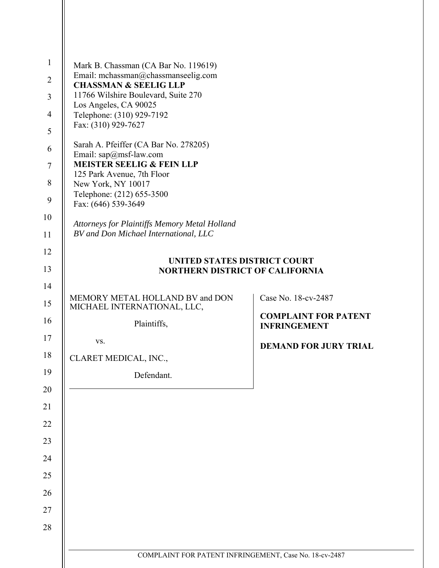| Mark B. Chassman (CA Bar No. 119619)<br>Email: mchassman@chassmanseelig.com            |                                                             |
|----------------------------------------------------------------------------------------|-------------------------------------------------------------|
| <b>CHASSMAN &amp; SEELIG LLP</b><br>11766 Wilshire Boulevard, Suite 270                |                                                             |
| Los Angeles, CA 90025<br>Telephone: (310) 929-7192                                     |                                                             |
| Fax: (310) 929-7627                                                                    |                                                             |
| Sarah A. Pfeiffer (CA Bar No. 278205)                                                  |                                                             |
| Email: sap@msf-law.com<br><b>MEISTER SEELIG &amp; FEIN LLP</b>                         |                                                             |
| 125 Park Avenue, 7th Floor<br>New York, NY 10017                                       |                                                             |
| Telephone: (212) 655-3500                                                              |                                                             |
| Fax: (646) 539-3649                                                                    |                                                             |
| Attorneys for Plaintiffs Memory Metal Holland<br>BV and Don Michael International, LLC |                                                             |
|                                                                                        |                                                             |
| UNITED STATES DISTRICT COURT<br><b>NORTHERN DISTRICT OF CALIFORNIA</b>                 |                                                             |
|                                                                                        |                                                             |
| MEMORY METAL HOLLAND BV and DON<br>MICHAEL INTERNATIONAL, LLC,                         | Case No. 18-cv-2487                                         |
|                                                                                        |                                                             |
| Plaintiffs,                                                                            | <b>INFRINGEMENT</b>                                         |
| VS.                                                                                    |                                                             |
| CLARET MEDICAL, INC.,                                                                  |                                                             |
| Defendant.                                                                             |                                                             |
|                                                                                        |                                                             |
|                                                                                        |                                                             |
|                                                                                        |                                                             |
|                                                                                        |                                                             |
|                                                                                        |                                                             |
|                                                                                        |                                                             |
|                                                                                        | <b>COMPLAINT FOR PATENT</b><br><b>DEMAND FOR JURY TRIAL</b> |
|                                                                                        |                                                             |
|                                                                                        |                                                             |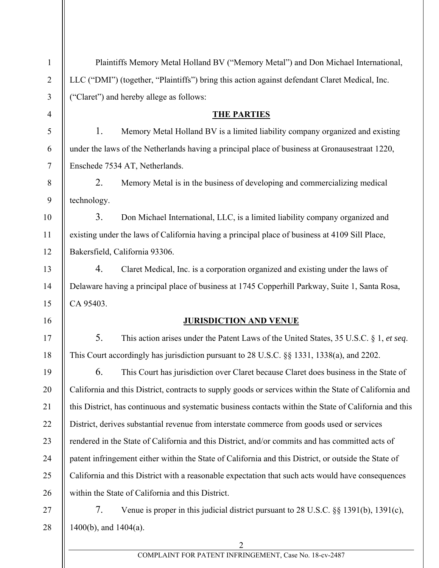| $\mathbf{1}$   | Plaintiffs Memory Metal Holland BV ("Memory Metal") and Don Michael International,                     |                                                                                                |  |
|----------------|--------------------------------------------------------------------------------------------------------|------------------------------------------------------------------------------------------------|--|
| $\overline{2}$ |                                                                                                        | LLC ("DMI") (together, "Plaintiffs") bring this action against defendant Claret Medical, Inc.  |  |
| $\mathfrak{Z}$ |                                                                                                        | "Claret") and hereby allege as follows:                                                        |  |
| $\overline{4}$ |                                                                                                        | <b>THE PARTIES</b>                                                                             |  |
| 5              | 1.                                                                                                     | Memory Metal Holland BV is a limited liability company organized and existing                  |  |
| 6              |                                                                                                        | under the laws of the Netherlands having a principal place of business at Gronausestraat 1220, |  |
| $\overline{7}$ | Enschede 7534 AT, Netherlands.                                                                         |                                                                                                |  |
| $8\,$          | 2.                                                                                                     | Memory Metal is in the business of developing and commercializing medical                      |  |
| 9              | technology.                                                                                            |                                                                                                |  |
| 10             | 3.                                                                                                     | Don Michael International, LLC, is a limited liability company organized and                   |  |
| 11             |                                                                                                        | existing under the laws of California having a principal place of business at 4109 Sill Place, |  |
| 12             |                                                                                                        | Bakersfield, California 93306.                                                                 |  |
| 13             | 4.                                                                                                     | Claret Medical, Inc. is a corporation organized and existing under the laws of                 |  |
| 14             |                                                                                                        | Delaware having a principal place of business at 1745 Copperhill Parkway, Suite 1, Santa Rosa, |  |
| 15             | CA 95403.                                                                                              |                                                                                                |  |
| 16             |                                                                                                        | <b>JURISDICTION AND VENUE</b>                                                                  |  |
| 17             | 5.                                                                                                     | This action arises under the Patent Laws of the United States, 35 U.S.C. § 1, et seq.          |  |
| 18             |                                                                                                        | This Court accordingly has jurisdiction pursuant to 28 U.S.C. §§ 1331, 1338(a), and 2202.      |  |
| 19             | 6.                                                                                                     | This Court has jurisdiction over Claret because Claret does business in the State of           |  |
| 20             | California and this District, contracts to supply goods or services within the State of California and |                                                                                                |  |
| 21             | this District, has continuous and systematic business contacts within the State of California and this |                                                                                                |  |
| 22             |                                                                                                        | District, derives substantial revenue from interstate commerce from goods used or services     |  |
| 23             | rendered in the State of California and this District, and/or commits and has committed acts of        |                                                                                                |  |
| 24             | patent infringement either within the State of California and this District, or outside the State of   |                                                                                                |  |
| 25             | California and this District with a reasonable expectation that such acts would have consequences      |                                                                                                |  |
| 26             | within the State of California and this District.                                                      |                                                                                                |  |
| 27             | 7.                                                                                                     | Venue is proper in this judicial district pursuant to 28 U.S.C. §§ 1391(b), 1391(c),           |  |
| 28             | $1400(b)$ , and $1404(a)$ .                                                                            |                                                                                                |  |
|                |                                                                                                        |                                                                                                |  |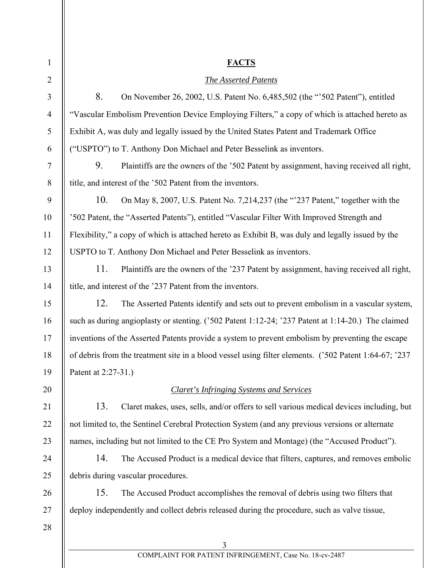| $\mathbf{1}$   | <b>FACTS</b>                                                                                          |  |  |
|----------------|-------------------------------------------------------------------------------------------------------|--|--|
|                |                                                                                                       |  |  |
| $\overline{2}$ | <b>The Asserted Patents</b>                                                                           |  |  |
| 3              | 8.<br>On November 26, 2002, U.S. Patent No. 6, 485, 502 (the "502 Patent"), entitled                  |  |  |
| $\overline{4}$ | "Vascular Embolism Prevention Device Employing Filters," a copy of which is attached hereto as        |  |  |
| 5              | Exhibit A, was duly and legally issued by the United States Patent and Trademark Office               |  |  |
| 6              | ("USPTO") to T. Anthony Don Michael and Peter Besselink as inventors.                                 |  |  |
| $\overline{7}$ | 9.<br>Plaintiffs are the owners of the '502 Patent by assignment, having received all right,          |  |  |
| $8\,$          | title, and interest of the '502 Patent from the inventors.                                            |  |  |
| 9              | 10.<br>On May 8, 2007, U.S. Patent No. 7,214,237 (the "237 Patent," together with the                 |  |  |
| 10             | '502 Patent, the "Asserted Patents"), entitled "Vascular Filter With Improved Strength and            |  |  |
| 11             | Flexibility," a copy of which is attached hereto as Exhibit B, was duly and legally issued by the     |  |  |
| 12             | USPTO to T. Anthony Don Michael and Peter Besselink as inventors.                                     |  |  |
| 13             | 11.<br>Plaintiffs are the owners of the '237 Patent by assignment, having received all right,         |  |  |
| 14             | title, and interest of the '237 Patent from the inventors.                                            |  |  |
| 15             | 12.<br>The Asserted Patents identify and sets out to prevent embolism in a vascular system,           |  |  |
| 16             | such as during angioplasty or stenting. ('502 Patent 1:12-24; '237 Patent at 1:14-20.) The claimed    |  |  |
| 17             | inventions of the Asserted Patents provide a system to prevent embolism by preventing the escape      |  |  |
| 18             | of debris from the treatment site in a blood vessel using filter elements. ('502 Patent 1:64-67; '237 |  |  |
| 19             | Patent at 2:27-31.)                                                                                   |  |  |
| 20             | <b>Claret's Infringing Systems and Services</b>                                                       |  |  |
| 21             | 13.<br>Claret makes, uses, sells, and/or offers to sell various medical devices including, but        |  |  |
| 22             | not limited to, the Sentinel Cerebral Protection System (and any previous versions or alternate       |  |  |
| 23             | names, including but not limited to the CE Pro System and Montage) (the "Accused Product").           |  |  |
| 24             | 14.<br>The Accused Product is a medical device that filters, captures, and removes embolic            |  |  |
| 25             | debris during vascular procedures.                                                                    |  |  |
| 26             | 15.<br>The Accused Product accomplishes the removal of debris using two filters that                  |  |  |
| 27             | deploy independently and collect debris released during the procedure, such as valve tissue,          |  |  |
| 28             |                                                                                                       |  |  |
|                | 3                                                                                                     |  |  |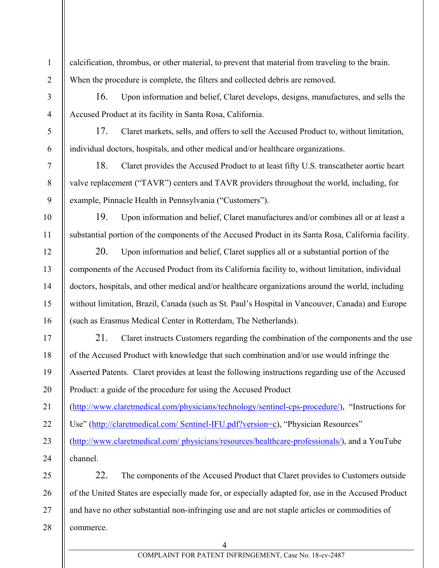calcification, thrombus, or other material, to prevent that material from traveling to the brain. When the procedure is complete, the filters and collected debris are removed.

16. Upon information and belief, Claret develops, designs, manufactures, and sells the Accused Product at its facility in Santa Rosa, California.

17. Claret markets, sells, and offers to sell the Accused Product to, without limitation, individual doctors, hospitals, and other medical and/or healthcare organizations.

18. Claret provides the Accused Product to at least fifty U.S. transcatheter aortic heart valve replacement ("TAVR") centers and TAVR providers throughout the world, including, for example, Pinnacle Health in Pennsylvania ("Customers").

19. Upon information and belief, Claret manufactures and/or combines all or at least a substantial portion of the components of the Accused Product in its Santa Rosa, California facility.

20. Upon information and belief, Claret supplies all or a substantial portion of the components of the Accused Product from its California facility to, without limitation, individual doctors, hospitals, and other medical and/or healthcare organizations around the world, including without limitation, Brazil, Canada (such as St. Paul's Hospital in Vancouver, Canada) and Europe (such as Erasmus Medical Center in Rotterdam, The Netherlands).

21. Claret instructs Customers regarding the combination of the components and the use of the Accused Product with knowledge that such combination and/or use would infringe the Asserted Patents. Claret provides at least the following instructions regarding use of the Accused Product: a guide of the procedure for using the Accused Product

(http://www.claretmedical.com/physicians/technology/sentinel-cps-procedure/), "Instructions for

Use" (http://claretmedical.com/ Sentinel-IFU.pdf?version=c), "Physician Resources"

(http://www.claretmedical.com/ physicians/resources/healthcare-professionals/), and a YouTube channel.

28 22. The components of the Accused Product that Claret provides to Customers outside of the United States are especially made for, or especially adapted for, use in the Accused Product and have no other substantial non-infringing use and are not staple articles or commodities of commerce.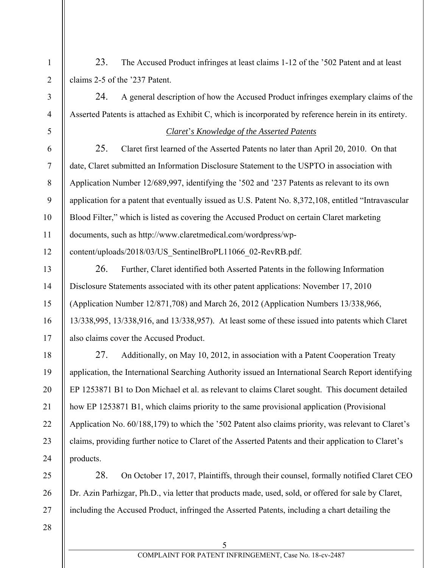23. The Accused Product infringes at least claims 1-12 of the '502 Patent and at least claims 2-5 of the '237 Patent.

24. A general description of how the Accused Product infringes exemplary claims of the Asserted Patents is attached as Exhibit C, which is incorporated by reference herein in its entirety.

## *Claret*'*s Knowledge of the Asserted Patents*

25. Claret first learned of the Asserted Patents no later than April 20, 2010. On that date, Claret submitted an Information Disclosure Statement to the USPTO in association with Application Number 12/689,997, identifying the '502 and '237 Patents as relevant to its own application for a patent that eventually issued as U.S. Patent No. 8,372,108, entitled "Intravascular Blood Filter," which is listed as covering the Accused Product on certain Claret marketing documents, such as http://www.claretmedical.com/wordpress/wpcontent/uploads/2018/03/US\_SentinelBroPL11066\_02-RevRB.pdf.

26. Further, Claret identified both Asserted Patents in the following Information Disclosure Statements associated with its other patent applications: November 17, 2010 (Application Number 12/871,708) and March 26, 2012 (Application Numbers 13/338,966, 13/338,995, 13/338,916, and 13/338,957). At least some of these issued into patents which Claret also claims cover the Accused Product.

27. Additionally, on May 10, 2012, in association with a Patent Cooperation Treaty application, the International Searching Authority issued an International Search Report identifying EP 1253871 B1 to Don Michael et al. as relevant to claims Claret sought. This document detailed how EP 1253871 B1, which claims priority to the same provisional application (Provisional Application No. 60/188,179) to which the '502 Patent also claims priority, was relevant to Claret's claims, providing further notice to Claret of the Asserted Patents and their application to Claret's products.

28. On October 17, 2017, Plaintiffs, through their counsel, formally notified Claret CEO Dr. Azin Parhizgar, Ph.D., via letter that products made, used, sold, or offered for sale by Claret, including the Accused Product, infringed the Asserted Patents, including a chart detailing the

28

1

2

3

4

5

6

7

8

9

10

11

12

13

14

15

16

17

18

19

20

21

22

23

24

25

26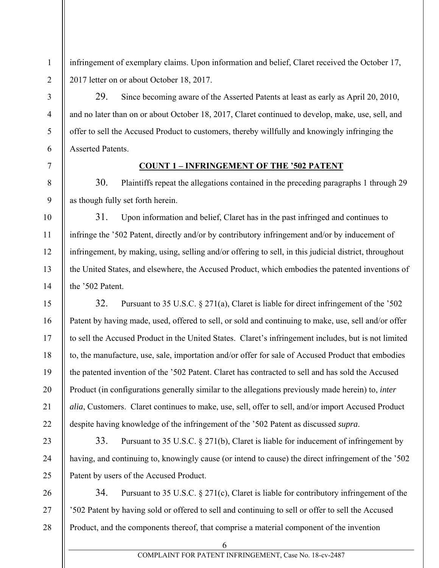infringement of exemplary claims. Upon information and belief, Claret received the October 17, 2017 letter on or about October 18, 2017.

29. Since becoming aware of the Asserted Patents at least as early as April 20, 2010, and no later than on or about October 18, 2017, Claret continued to develop, make, use, sell, and offer to sell the Accused Product to customers, thereby willfully and knowingly infringing the Asserted Patents.

## **COUNT 1 – INFRINGEMENT OF THE '502 PATENT**

30. Plaintiffs repeat the allegations contained in the preceding paragraphs 1 through 29 as though fully set forth herein.

31. Upon information and belief, Claret has in the past infringed and continues to infringe the '502 Patent, directly and/or by contributory infringement and/or by inducement of infringement, by making, using, selling and/or offering to sell, in this judicial district, throughout the United States, and elsewhere, the Accused Product, which embodies the patented inventions of the '502 Patent.

32. Pursuant to 35 U.S.C. § 271(a), Claret is liable for direct infringement of the '502 Patent by having made, used, offered to sell, or sold and continuing to make, use, sell and/or offer to sell the Accused Product in the United States. Claret's infringement includes, but is not limited to, the manufacture, use, sale, importation and/or offer for sale of Accused Product that embodies the patented invention of the '502 Patent. Claret has contracted to sell and has sold the Accused Product (in configurations generally similar to the allegations previously made herein) to, *inter alia*, Customers. Claret continues to make, use, sell, offer to sell, and/or import Accused Product despite having knowledge of the infringement of the '502 Patent as discussed *supra*.

33. Pursuant to 35 U.S.C. § 271(b), Claret is liable for inducement of infringement by having, and continuing to, knowingly cause (or intend to cause) the direct infringement of the '502 Patent by users of the Accused Product.

34. Pursuant to 35 U.S.C. § 271(c), Claret is liable for contributory infringement of the '502 Patent by having sold or offered to sell and continuing to sell or offer to sell the Accused Product, and the components thereof, that comprise a material component of the invention

6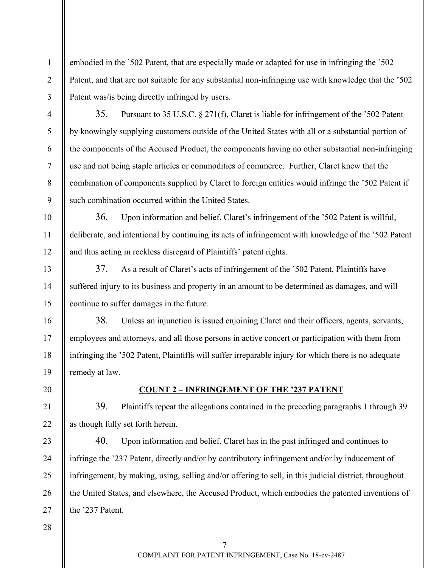embodied in the '502 Patent, that are especially made or adapted for use in infringing the '502 Patent, and that are not suitable for any substantial non-infringing use with knowledge that the '502 Patent was/is being directly infringed by users.

35. Pursuant to 35 U.S.C. § 271(f), Claret is liable for infringement of the '502 Patent by knowingly supplying customers outside of the United States with all or a substantial portion of the components of the Accused Product, the components having no other substantial non-infringing use and not being staple articles or commodities of commerce. Further, Claret knew that the combination of components supplied by Claret to foreign entities would infringe the '502 Patent if such combination occurred within the United States.

36. Upon information and belief, Claret's infringement of the '502 Patent is willful, deliberate, and intentional by continuing its acts of infringement with knowledge of the '502 Patent and thus acting in reckless disregard of Plaintiffs' patent rights.

37. As a result of Claret's acts of infringement of the '502 Patent, Plaintiffs have suffered injury to its business and property in an amount to be determined as damages, and will continue to suffer damages in the future.

38. Unless an injunction is issued enjoining Claret and their officers, agents, servants, employees and attorneys, and all those persons in active concert or participation with them from infringing the '502 Patent, Plaintiffs will suffer irreparable injury for which there is no adequate remedy at law.

## **COUNT 2 – INFRINGEMENT OF THE '237 PATENT**

39. Plaintiffs repeat the allegations contained in the preceding paragraphs 1 through 39 as though fully set forth herein.

40. Upon information and belief, Claret has in the past infringed and continues to infringe the '237 Patent, directly and/or by contributory infringement and/or by inducement of infringement, by making, using, selling and/or offering to sell, in this judicial district, throughout the United States, and elsewhere, the Accused Product, which embodies the patented inventions of the '237 Patent.

1

2

3

4

5

6

7

8

9

10

11

12

13

14

15

16

17

18

19

20

21

22

23

24

25

26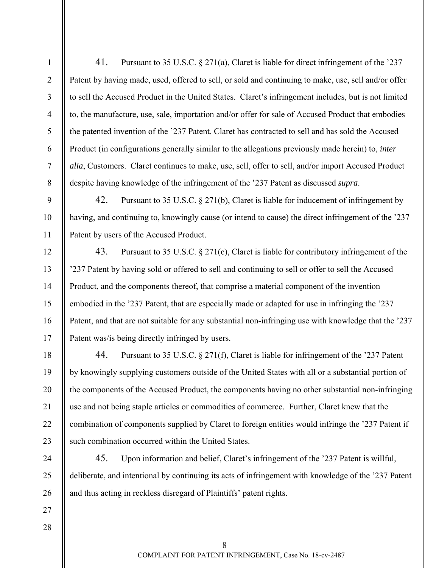1

2

3

41. Pursuant to 35 U.S.C. § 271(a), Claret is liable for direct infringement of the '237 Patent by having made, used, offered to sell, or sold and continuing to make, use, sell and/or offer to sell the Accused Product in the United States. Claret's infringement includes, but is not limited to, the manufacture, use, sale, importation and/or offer for sale of Accused Product that embodies the patented invention of the '237 Patent. Claret has contracted to sell and has sold the Accused Product (in configurations generally similar to the allegations previously made herein) to, *inter alia*, Customers. Claret continues to make, use, sell, offer to sell, and/or import Accused Product despite having knowledge of the infringement of the '237 Patent as discussed *supra*.

42. Pursuant to 35 U.S.C. § 271(b), Claret is liable for inducement of infringement by having, and continuing to, knowingly cause (or intend to cause) the direct infringement of the '237 Patent by users of the Accused Product.

43. Pursuant to 35 U.S.C. § 271(c), Claret is liable for contributory infringement of the '237 Patent by having sold or offered to sell and continuing to sell or offer to sell the Accused Product, and the components thereof, that comprise a material component of the invention embodied in the '237 Patent, that are especially made or adapted for use in infringing the '237 Patent, and that are not suitable for any substantial non-infringing use with knowledge that the '237 Patent was/is being directly infringed by users.

44. Pursuant to 35 U.S.C. § 271(f), Claret is liable for infringement of the '237 Patent by knowingly supplying customers outside of the United States with all or a substantial portion of the components of the Accused Product, the components having no other substantial non-infringing use and not being staple articles or commodities of commerce. Further, Claret knew that the combination of components supplied by Claret to foreign entities would infringe the '237 Patent if such combination occurred within the United States.

45. Upon information and belief, Claret's infringement of the '237 Patent is willful, deliberate, and intentional by continuing its acts of infringement with knowledge of the '237 Patent and thus acting in reckless disregard of Plaintiffs' patent rights.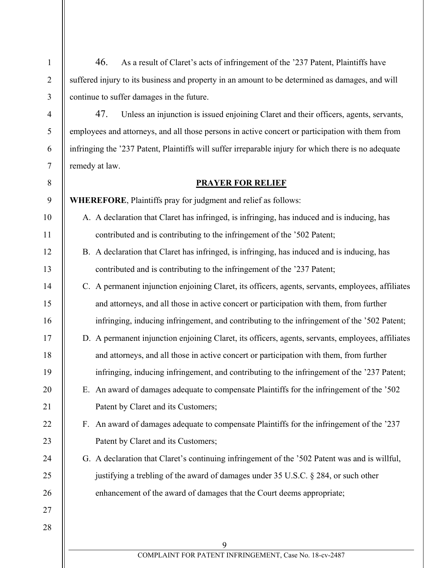46. As a result of Claret's acts of infringement of the '237 Patent, Plaintiffs have suffered injury to its business and property in an amount to be determined as damages, and will continue to suffer damages in the future.

47. Unless an injunction is issued enjoining Claret and their officers, agents, servants, employees and attorneys, and all those persons in active concert or participation with them from infringing the '237 Patent, Plaintiffs will suffer irreparable injury for which there is no adequate remedy at law.

## **PRAYER FOR RELIEF**

9 **WHEREFORE**, Plaintiffs pray for judgment and relief as follows:

1

2

3

4

5

6

7

8

10

11

12

13

14

15

16

17

18

19

20

21

22

23

24

25

26

27

- A. A declaration that Claret has infringed, is infringing, has induced and is inducing, has contributed and is contributing to the infringement of the '502 Patent;
- B. A declaration that Claret has infringed, is infringing, has induced and is inducing, has contributed and is contributing to the infringement of the '237 Patent;
- C. A permanent injunction enjoining Claret, its officers, agents, servants, employees, affiliates and attorneys, and all those in active concert or participation with them, from further infringing, inducing infringement, and contributing to the infringement of the '502 Patent;
- D. A permanent injunction enjoining Claret, its officers, agents, servants, employees, affiliates and attorneys, and all those in active concert or participation with them, from further infringing, inducing infringement, and contributing to the infringement of the '237 Patent;
	- E. An award of damages adequate to compensate Plaintiffs for the infringement of the '502 Patent by Claret and its Customers;
	- F. An award of damages adequate to compensate Plaintiffs for the infringement of the '237 Patent by Claret and its Customers;
	- G. A declaration that Claret's continuing infringement of the '502 Patent was and is willful, justifying a trebling of the award of damages under 35 U.S.C. § 284, or such other enhancement of the award of damages that the Court deems appropriate;